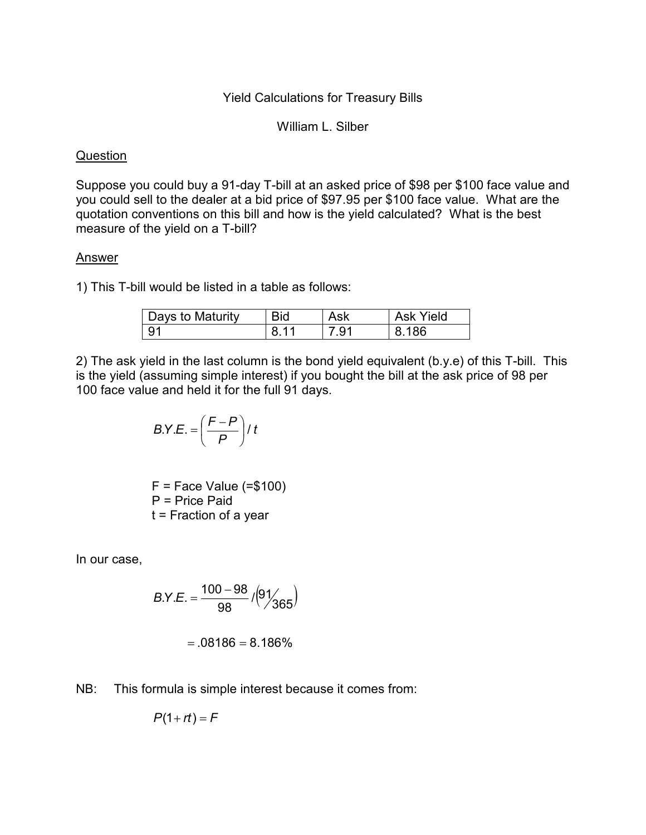## Yield Calculations for Treasury Bills

William L. Silber

## **Question**

Suppose you could buy a 91-day T-bill at an asked price of \$98 per \$100 face value and you could sell to the dealer at a bid price of \$97.95 per \$100 face value. What are the quotation conventions on this bill and how is the yield calculated? What is the best measure of the yield on a T-bill?

## Answer

1) This T-bill would be listed in a table as follows:

| Days to Maturity | Bid | Ask  | Ask Yield |
|------------------|-----|------|-----------|
| 91               | 8   | 7 91 | .186      |

2) The ask yield in the last column is the bond yield equivalent (b.y.e) of this T-bill. This is the yield (assuming simple interest) if you bought the bill at the ask price of 98 per 100 face value and held it for the full 91 days.

$$
B.Y.E. = \left(\frac{F-P}{P}\right) / t
$$

 $F =$  Face Value (= $$100$ ) P = Price Paid t = Fraction of a year

In our case,

$$
B.Y.E. = \frac{100 - 98}{98} / (9/\frac{1}{365})
$$

$$
= .08186 = 8.186\%
$$

NB: This formula is simple interest because it comes from:

$$
P(1+rt)=F
$$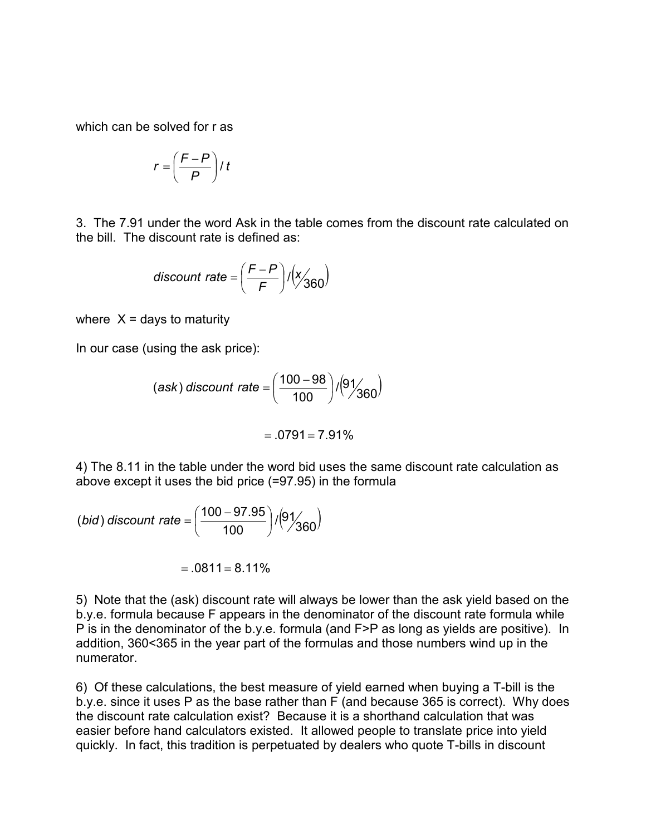which can be solved for r as

$$
r = \left(\frac{F-P}{P}\right) / t
$$

3. The 7.91 under the word Ask in the table comes from the discount rate calculated on the bill. The discount rate is defined as:

$$
discount rate = \left(\frac{F-P}{F}\right) / \left(\frac{x}{360}\right)
$$

where  $X =$  days to maturity

In our case (using the ask price):

(ask) discount rate = 
$$
\left(\frac{100 - 98}{100}\right) / (9 / 360)
$$

$$
=.0791=7.91\%
$$

4) The 8.11 in the table under the word bid uses the same discount rate calculation as above except it uses the bid price (=97.95) in the formula

(bid) discount rate = 
$$
\left(\frac{100 - 97.95}{100}\right) / (9/\frac{1}{360})
$$

 $= .0811 = 8.11\%$ 

5) Note that the (ask) discount rate will always be lower than the ask yield based on the b.y.e. formula because F appears in the denominator of the discount rate formula while P is in the denominator of the b.y.e. formula (and F>P as long as yields are positive). In addition, 360<365 in the year part of the formulas and those numbers wind up in the numerator.

6) Of these calculations, the best measure of yield earned when buying a T-bill is the b.y.e. since it uses P as the base rather than F (and because 365 is correct). Why does the discount rate calculation exist? Because it is a shorthand calculation that was easier before hand calculators existed. It allowed people to translate price into yield quickly. In fact, this tradition is perpetuated by dealers who quote T-bills in discount